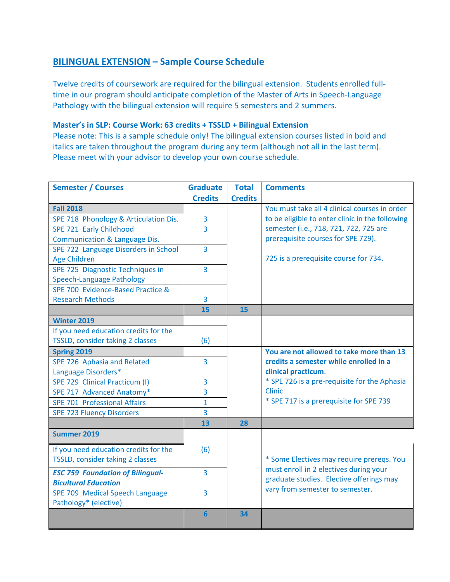## **BILINGUAL EXTENSION – Sample Course Schedule**

Twelve credits of coursework are required for the bilingual extension. Students enrolled full‐ time in our program should anticipate completion of the Master of Arts in Speech‐Language Pathology with the bilingual extension will require 5 semesters and 2 summers.

## **Master's in SLP: Course Work: 63 credits + TSSLD + Bilingual Extension**

Please note: This is a sample schedule only! The bilingual extension courses listed in bold and italics are taken throughout the program during any term (although not all in the last term). Please meet with your advisor to develop your own course schedule.

| <b>Semester / Courses</b>                                | <b>Graduate</b> | <b>Total</b>   | <b>Comments</b>                                 |
|----------------------------------------------------------|-----------------|----------------|-------------------------------------------------|
|                                                          | <b>Credits</b>  | <b>Credits</b> |                                                 |
| <b>Fall 2018</b>                                         |                 |                | You must take all 4 clinical courses in order   |
| SPE 718 Phonology & Articulation Dis.                    | 3               |                | to be eligible to enter clinic in the following |
| SPE 721 Early Childhood                                  | 3               |                | semester (i.e., 718, 721, 722, 725 are          |
| Communication & Language Dis.                            |                 |                | prerequisite courses for SPE 729).              |
| SPE 722 Language Disorders in School                     | $\overline{3}$  |                |                                                 |
| <b>Age Children</b>                                      |                 |                | 725 is a prerequisite course for 734.           |
| SPE 725 Diagnostic Techniques in                         | 3               |                |                                                 |
| <b>Speech-Language Pathology</b>                         |                 |                |                                                 |
| SPE 700 Evidence-Based Practice &                        |                 |                |                                                 |
| <b>Research Methods</b>                                  | 3               |                |                                                 |
|                                                          | 15              | 15             |                                                 |
| <b>Winter 2019</b>                                       |                 |                |                                                 |
| If you need education credits for the                    |                 |                |                                                 |
| TSSLD, consider taking 2 classes                         | (6)             |                |                                                 |
| Spring 2019                                              |                 |                | You are not allowed to take more than 13        |
| SPE 726 Aphasia and Related                              | 3               |                | credits a semester while enrolled in a          |
| Language Disorders*                                      |                 |                | clinical practicum.                             |
| SPE 729 Clinical Practicum (I)                           | 3               |                | * SPE 726 is a pre-requisite for the Aphasia    |
| SPE 717 Advanced Anatomy*                                | 3               |                | <b>Clinic</b>                                   |
| <b>SPE 701 Professional Affairs</b>                      | $\overline{1}$  |                | * SPE 717 is a prerequisite for SPE 739         |
| <b>SPE 723 Fluency Disorders</b>                         | 3               |                |                                                 |
|                                                          | 13              | 28             |                                                 |
| Summer 2019                                              |                 |                |                                                 |
| If you need education credits for the                    | (6)             |                |                                                 |
| TSSLD, consider taking 2 classes                         |                 |                | * Some Electives may require prereqs. You       |
| <b>ESC 759 Foundation of Bilingual-</b>                  | $\overline{3}$  |                | must enroll in 2 electives during your          |
| <b>Bicultural Education</b>                              |                 |                | graduate studies. Elective offerings may        |
|                                                          | 3               |                | vary from semester to semester.                 |
| SPE 709 Medical Speech Language<br>Pathology* (elective) |                 |                |                                                 |
|                                                          | $6\phantom{1}6$ | 34             |                                                 |
|                                                          |                 |                |                                                 |